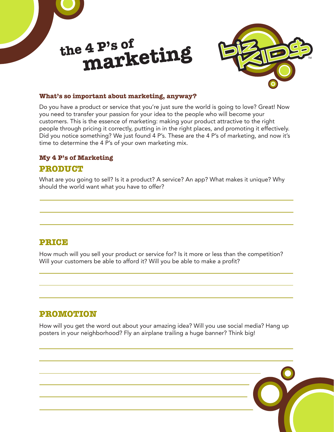



#### **What's so important about marketing, anyway?**

Do you have a product or service that you're just sure the world is going to love? Great! Now you need to transfer your passion for your idea to the people who will become your customers. This is the essence of marketing: making your product attractive to the right people through pricing it correctly, putting in in the right places, and promoting it effectively. Did you notice something? We just found 4 P's. These are the 4 P's of marketing, and now it's time to determine the 4 P's of your own marketing mix.

#### **My 4 P's of Marketing**

#### **PRODUCT**

What are you going to sell? Is it a product? A service? An app? What makes it unique? Why should the world want what you have to offer?

## **PRICE**

How much will you sell your product or service for? Is it more or less than the competition? Will your customers be able to afford it? Will you be able to make a profit?

## **PROMOTION**

How will you get the word out about your amazing idea? Will you use social media? Hang up posters in your neighborhood? Fly an airplane trailing a huge banner? Think big!